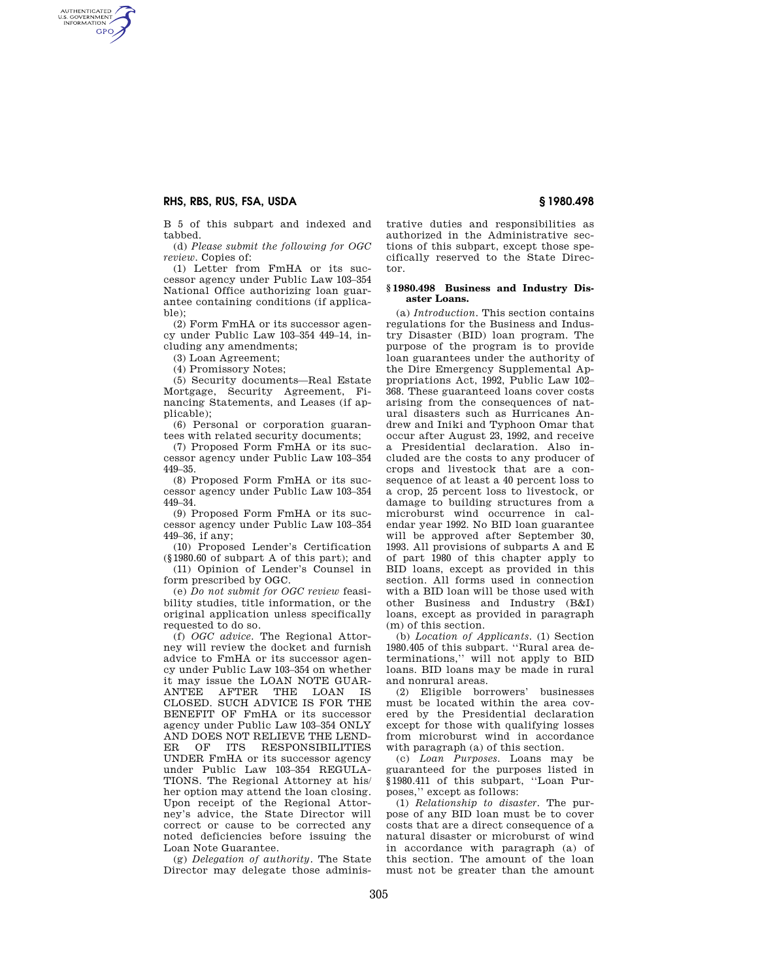## **RHS, RBS, RUS, FSA, USDA § 1980.498**

AUTHENTICATED<br>U.S. GOVERNMENT<br>INFORMATION **GPO** 

> B 5 of this subpart and indexed and tabbed.

> (d) *Please submit the following for OGC review.* Copies of:

> (1) Letter from FmHA or its successor agency under Public Law 103–354 National Office authorizing loan guarantee containing conditions (if applicable);

> (2) Form FmHA or its successor agency under Public Law 103–354 449–14, including any amendments;

(3) Loan Agreement;

(4) Promissory Notes;

(5) Security documents—Real Estate Mortgage, Security Agreement, Financing Statements, and Leases (if applicable);

(6) Personal or corporation guarantees with related security documents;

(7) Proposed Form FmHA or its successor agency under Public Law 103–354 449–35.

(8) Proposed Form FmHA or its successor agency under Public Law 103–354 449–34.

(9) Proposed Form FmHA or its successor agency under Public Law 103–354 449–36, if any;

(10) Proposed Lender's Certification (§1980.60 of subpart A of this part); and

(11) Opinion of Lender's Counsel in form prescribed by OGC.

(e) *Do not submit for OGC review* feasibility studies, title information, or the original application unless specifically requested to do so.

(f) *OGC advice.* The Regional Attorney will review the docket and furnish advice to FmHA or its successor agency under Public Law 103–354 on whether it may issue the LOAN NOTE GUAR-ANTEE AFTER THE LOAN IS CLOSED. SUCH ADVICE IS FOR THE BENEFIT OF FmHA or its successor agency under Public Law 103–354 ONLY AND DOES NOT RELIEVE THE LEND-<br>ER OF ITS RESPONSIBILITIES ER OF ITS RESPONSIBILITIES UNDER FmHA or its successor agency under Public Law 103–354 REGULA-TIONS. The Regional Attorney at his/ her option may attend the loan closing. Upon receipt of the Regional Attorney's advice, the State Director will correct or cause to be corrected any noted deficiencies before issuing the Loan Note Guarantee.

(g) *Delegation of authority.* The State Director may delegate those administrative duties and responsibilities as authorized in the Administrative sections of this subpart, except those specifically reserved to the State Director.

#### **§ 1980.498 Business and Industry Disaster Loans.**

(a) *Introduction.* This section contains regulations for the Business and Industry Disaster (BID) loan program. The purpose of the program is to provide loan guarantees under the authority of the Dire Emergency Supplemental Appropriations Act, 1992, Public Law 102– 368. These guaranteed loans cover costs arising from the consequences of natural disasters such as Hurricanes Andrew and Iniki and Typhoon Omar that occur after August 23, 1992, and receive a Presidential declaration. Also included are the costs to any producer of crops and livestock that are a consequence of at least a 40 percent loss to a crop, 25 percent loss to livestock, or damage to building structures from a microburst wind occurrence in calendar year 1992. No BID loan guarantee will be approved after September 30, 1993. All provisions of subparts A and E of part 1980 of this chapter apply to BID loans, except as provided in this section. All forms used in connection with a BID loan will be those used with other Business and Industry (B&I) loans, except as provided in paragraph (m) of this section.

(b) *Location of Applicants.* (1) Section 1980.405 of this subpart. ''Rural area determinations,'' will not apply to BID loans. BID loans may be made in rural and nonrural areas.

(2) Eligible borrowers' businesses must be located within the area covered by the Presidential declaration except for those with qualifying losses from microburst wind in accordance with paragraph (a) of this section.

(c) *Loan Purposes.* Loans may be guaranteed for the purposes listed in §1980.411 of this subpart, ''Loan Purposes,'' except as follows:

(1) *Relationship to disaster.* The purpose of any BID loan must be to cover costs that are a direct consequence of a natural disaster or microburst of wind in accordance with paragraph (a) of this section. The amount of the loan must not be greater than the amount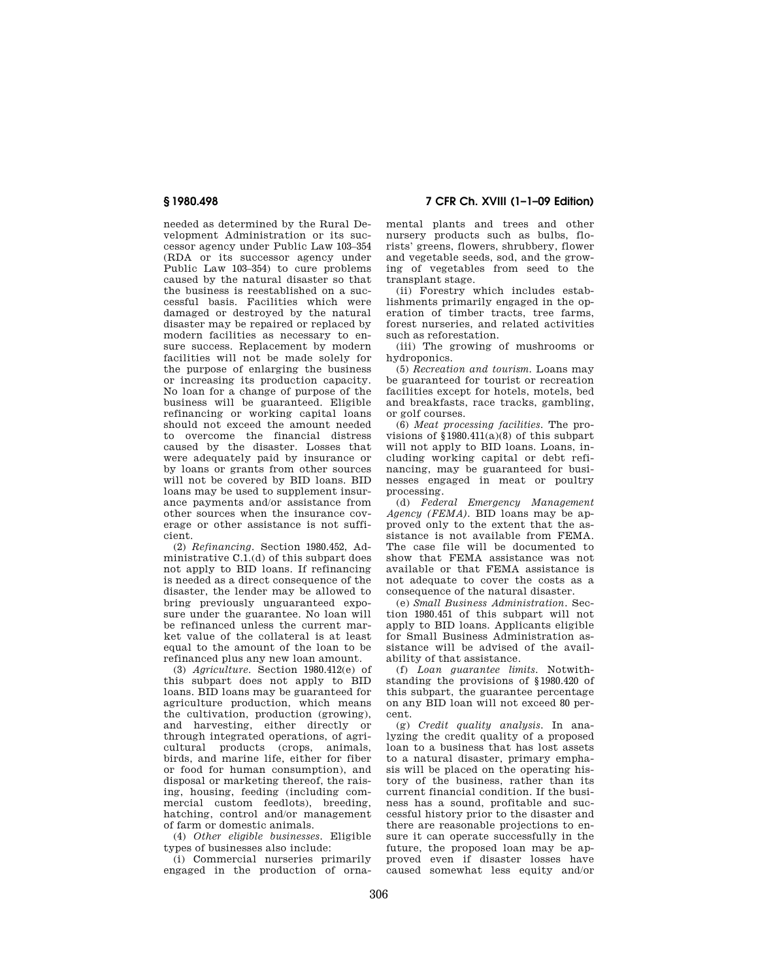needed as determined by the Rural Development Administration or its successor agency under Public Law 103–354 (RDA or its successor agency under Public Law 103–354) to cure problems caused by the natural disaster so that the business is reestablished on a successful basis. Facilities which were damaged or destroyed by the natural disaster may be repaired or replaced by modern facilities as necessary to ensure success. Replacement by modern facilities will not be made solely for the purpose of enlarging the business or increasing its production capacity. No loan for a change of purpose of the business will be guaranteed. Eligible refinancing or working capital loans should not exceed the amount needed to overcome the financial distress caused by the disaster. Losses that were adequately paid by insurance or by loans or grants from other sources will not be covered by BID loans. BID loans may be used to supplement insurance payments and/or assistance from other sources when the insurance coverage or other assistance is not sufficient.

(2) *Refinancing.* Section 1980.452, Administrative C.1.(d) of this subpart does not apply to BID loans. If refinancing is needed as a direct consequence of the disaster, the lender may be allowed to bring previously unguaranteed exposure under the guarantee. No loan will be refinanced unless the current market value of the collateral is at least equal to the amount of the loan to be refinanced plus any new loan amount.

(3) *Agriculture.* Section 1980.412(e) of this subpart does not apply to BID loans. BID loans may be guaranteed for agriculture production, which means the cultivation, production (growing), and harvesting, either directly or through integrated operations, of agricultural products (crops, animals, birds, and marine life, either for fiber or food for human consumption), and disposal or marketing thereof, the raising, housing, feeding (including commercial custom feedlots), breeding, hatching, control and/or management of farm or domestic animals.

(4) *Other eligible businesses.* Eligible types of businesses also include:

(i) Commercial nurseries primarily engaged in the production of orna-

**§ 1980.498 7 CFR Ch. XVIII (1–1–09 Edition)** 

mental plants and trees and other nursery products such as bulbs, florists' greens, flowers, shrubbery, flower and vegetable seeds, sod, and the growing of vegetables from seed to the transplant stage.

(ii) Forestry which includes establishments primarily engaged in the operation of timber tracts, tree farms, forest nurseries, and related activities such as reforestation.

(iii) The growing of mushrooms or hydroponics.

(5) *Recreation and tourism.* Loans may be guaranteed for tourist or recreation facilities except for hotels, motels, bed and breakfasts, race tracks, gambling, or golf courses.

(6) *Meat processing facilities.* The provisions of  $\frac{1980.411(a)(8)}{b}$  of this subpart will not apply to BID loans. Loans, including working capital or debt refinancing, may be guaranteed for businesses engaged in meat or poultry processing.

(d) *Federal Emergency Management Agency (FEMA).* BID loans may be approved only to the extent that the assistance is not available from FEMA. The case file will be documented to show that FEMA assistance was not available or that FEMA assistance is not adequate to cover the costs as a consequence of the natural disaster.

(e) *Small Business Administration.* Section 1980.451 of this subpart will not apply to BID loans. Applicants eligible for Small Business Administration assistance will be advised of the availability of that assistance.

(f) *Loan guarantee limits.* Notwithstanding the provisions of §1980.420 of this subpart, the guarantee percentage on any BID loan will not exceed 80 percent.

(g) *Credit quality analysis.* In analyzing the credit quality of a proposed loan to a business that has lost assets to a natural disaster, primary emphasis will be placed on the operating history of the business, rather than its current financial condition. If the business has a sound, profitable and successful history prior to the disaster and there are reasonable projections to ensure it can operate successfully in the future, the proposed loan may be approved even if disaster losses have caused somewhat less equity and/or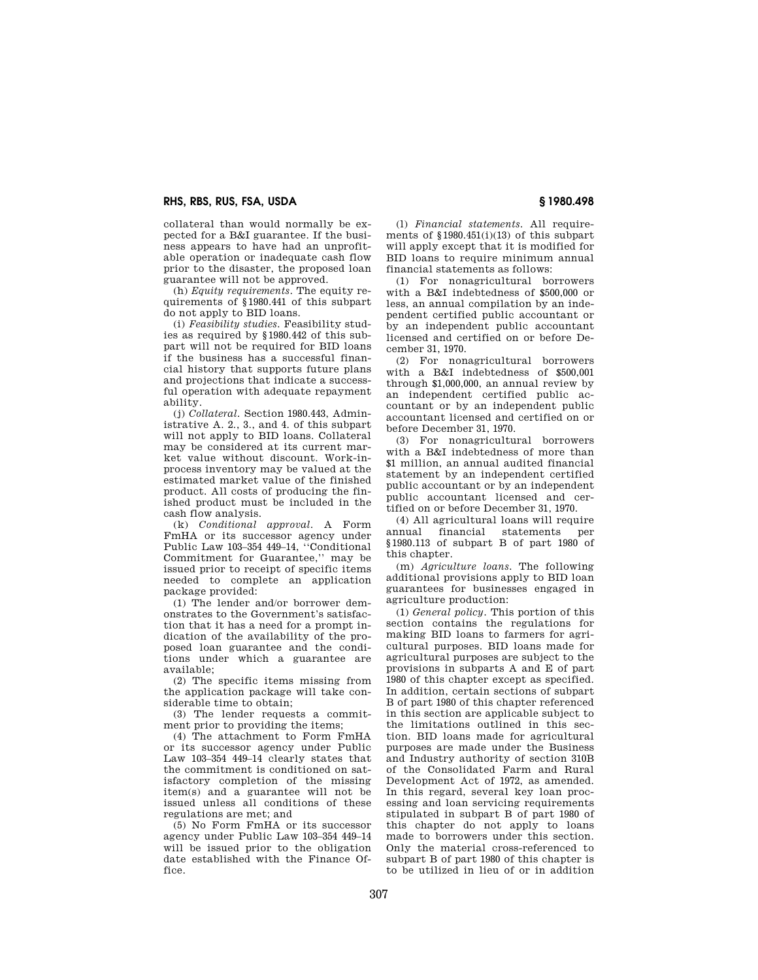# **RHS, RBS, RUS, FSA, USDA § 1980.498**

collateral than would normally be expected for a B&I guarantee. If the business appears to have had an unprofitable operation or inadequate cash flow prior to the disaster, the proposed loan guarantee will not be approved.

(h) *Equity requirements.* The equity requirements of §1980.441 of this subpart do not apply to BID loans.

(i) *Feasibility studies.* Feasibility studies as required by §1980.442 of this subpart will not be required for BID loans if the business has a successful financial history that supports future plans and projections that indicate a successful operation with adequate repayment ability.

(j) *Collateral.* Section 1980.443, Administrative A. 2., 3., and 4. of this subpart will not apply to BID loans. Collateral may be considered at its current market value without discount. Work-inprocess inventory may be valued at the estimated market value of the finished product. All costs of producing the finished product must be included in the cash flow analysis.

(k) *Conditional approval.* A Form FmHA or its successor agency under Public Law 103–354 449–14, ''Conditional Commitment for Guarantee,'' may be issued prior to receipt of specific items needed to complete an application package provided:

(1) The lender and/or borrower demonstrates to the Government's satisfaction that it has a need for a prompt indication of the availability of the proposed loan guarantee and the conditions under which a guarantee are available;

(2) The specific items missing from the application package will take considerable time to obtain;

(3) The lender requests a commitment prior to providing the items;

(4) The attachment to Form FmHA or its successor agency under Public Law 103–354 449–14 clearly states that the commitment is conditioned on satisfactory completion of the missing item(s) and a guarantee will not be issued unless all conditions of these regulations are met; and

(5) No Form FmHA or its successor agency under Public Law 103–354 449–14 will be issued prior to the obligation date established with the Finance Office.

(l) *Financial statements.* All requirements of §1980.451(i)(13) of this subpart will apply except that it is modified for BID loans to require minimum annual financial statements as follows:

(1) For nonagricultural borrowers with a B&I indebtedness of \$500,000 or less, an annual compilation by an independent certified public accountant or by an independent public accountant licensed and certified on or before December 31, 1970.

(2) For nonagricultural borrowers with a B&I indebtedness of \$500,001 through \$1,000,000, an annual review by an independent certified public accountant or by an independent public accountant licensed and certified on or before December 31, 1970.

(3) For nonagricultural borrowers with a B&I indebtedness of more than \$1 million, an annual audited financial statement by an independent certified public accountant or by an independent public accountant licensed and certified on or before December 31, 1970.

(4) All agricultural loans will require annual financial statements per §1980.113 of subpart B of part 1980 of this chapter.

(m) *Agriculture loans.* The following additional provisions apply to BID loan guarantees for businesses engaged in agriculture production:

(1) *General policy.* This portion of this section contains the regulations for making BID loans to farmers for agricultural purposes. BID loans made for agricultural purposes are subject to the provisions in subparts A and E of part 1980 of this chapter except as specified. In addition, certain sections of subpart B of part 1980 of this chapter referenced in this section are applicable subject to the limitations outlined in this section. BID loans made for agricultural purposes are made under the Business and Industry authority of section 310B of the Consolidated Farm and Rural Development Act of 1972, as amended. In this regard, several key loan processing and loan servicing requirements stipulated in subpart B of part 1980 of this chapter do not apply to loans made to borrowers under this section. Only the material cross-referenced to subpart B of part 1980 of this chapter is to be utilized in lieu of or in addition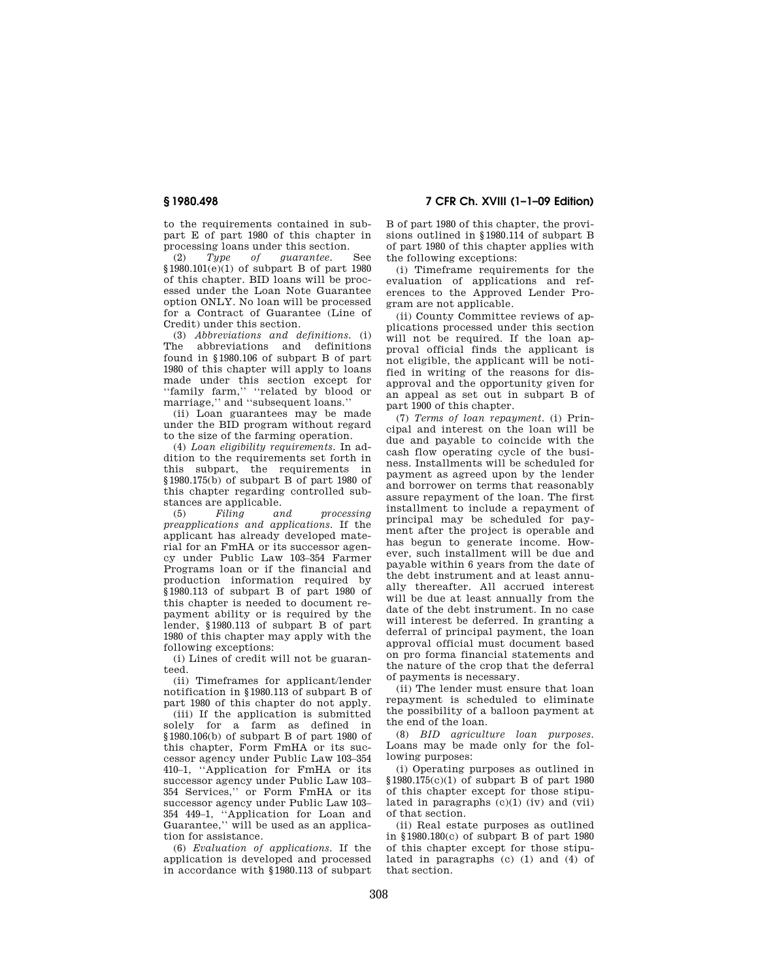to the requirements contained in subpart E of part 1980 of this chapter in processing loans under this section.<br>(2) Type of quarantee. See

(2) *Type of guarantee.* §1980.101(e)(1) of subpart B of part 1980 of this chapter. BID loans will be processed under the Loan Note Guarantee option ONLY. No loan will be processed for a Contract of Guarantee (Line of Credit) under this section.

(3) *Abbreviations and definitions.* (i) abbreviations and definitions found in §1980.106 of subpart B of part 1980 of this chapter will apply to loans made under this section except for ''family farm,'' ''related by blood or marriage,'' and ''subsequent loans.''

(ii) Loan guarantees may be made under the BID program without regard to the size of the farming operation.

(4) *Loan eligibility requirements.* In addition to the requirements set forth in this subpart, the requirements in §1980.175(b) of subpart B of part 1980 of this chapter regarding controlled sub-

stances are applicable.<br>(5)  $Filing$  and (5) *Filing and processing preapplications and applications.* If the applicant has already developed material for an FmHA or its successor agency under Public Law 103–354 Farmer Programs loan or if the financial and production information required by §1980.113 of subpart B of part 1980 of this chapter is needed to document repayment ability or is required by the lender, §1980.113 of subpart B of part 1980 of this chapter may apply with the following exceptions:

(i) Lines of credit will not be guaranteed.

(ii) Timeframes for applicant/lender notification in §1980.113 of subpart B of part 1980 of this chapter do not apply.

(iii) If the application is submitted solely for a farm as defined in §1980.106(b) of subpart B of part 1980 of this chapter, Form FmHA or its successor agency under Public Law 103–354 410–1, ''Application for FmHA or its successor agency under Public Law 103– 354 Services,'' or Form FmHA or its successor agency under Public Law 103– 354 449–1, ''Application for Loan and Guarantee,'' will be used as an application for assistance.

(6) *Evaluation of applications.* If the application is developed and processed in accordance with §1980.113 of subpart

**§ 1980.498 7 CFR Ch. XVIII (1–1–09 Edition)** 

B of part 1980 of this chapter, the provisions outlined in §1980.114 of subpart B of part 1980 of this chapter applies with the following exceptions:

(i) Timeframe requirements for the evaluation of applications and references to the Approved Lender Program are not applicable.

(ii) County Committee reviews of applications processed under this section will not be required. If the loan approval official finds the applicant is not eligible, the applicant will be notified in writing of the reasons for disapproval and the opportunity given for an appeal as set out in subpart B of part 1900 of this chapter.

(7) *Terms of loan repayment.* (i) Principal and interest on the loan will be due and payable to coincide with the cash flow operating cycle of the business. Installments will be scheduled for payment as agreed upon by the lender and borrower on terms that reasonably assure repayment of the loan. The first installment to include a repayment of principal may be scheduled for payment after the project is operable and has begun to generate income. However, such installment will be due and payable within 6 years from the date of the debt instrument and at least annually thereafter. All accrued interest will be due at least annually from the date of the debt instrument. In no case will interest be deferred. In granting a deferral of principal payment, the loan approval official must document based on pro forma financial statements and the nature of the crop that the deferral of payments is necessary.

(ii) The lender must ensure that loan repayment is scheduled to eliminate the possibility of a balloon payment at the end of the loan.

(8) *BID agriculture loan purposes.*  Loans may be made only for the following purposes:

(i) Operating purposes as outlined in §1980.175(c)(1) of subpart B of part 1980 of this chapter except for those stipulated in paragraphs  $(c)(1)$   $(iv)$  and  $(vii)$ of that section.

(ii) Real estate purposes as outlined in §1980.180(c) of subpart B of part 1980 of this chapter except for those stipulated in paragraphs (c) (1) and (4) of that section.